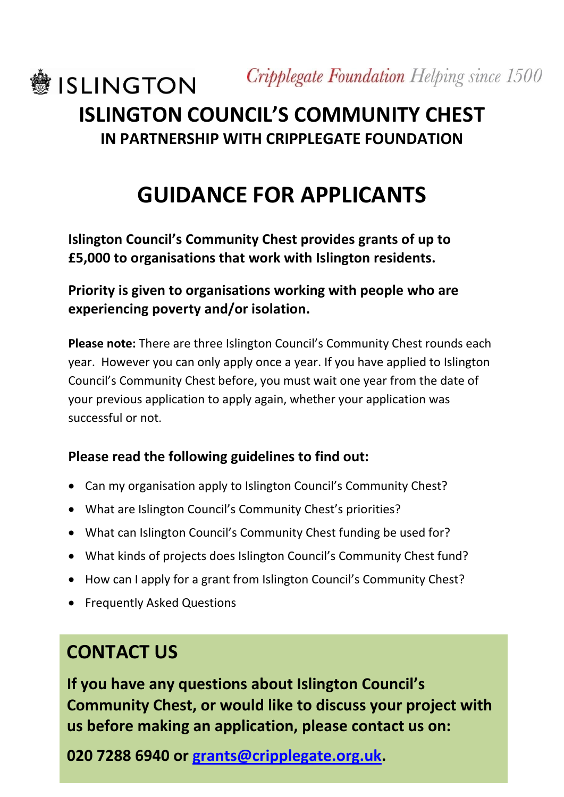

# **ISLINGTON COUNCIL'S COMMUNITY CHEST IN PARTNERSHIP WITH CRIPPLEGATE FOUNDATION**

# **GUIDANCE FOR APPLICANTS**

**Islington Council's Community Chest provides grants of up to £5,000 to organisations that work with Islington residents.** 

## **Priority is given to organisations working with people who are experiencing poverty and/or isolation.**

**Please note:** There are three Islington Council's Community Chest rounds each year. However you can only apply once a year. If you have applied to Islington Council's Community Chest before, you must wait one year from the date of your previous application to apply again, whether your application was successful or not.

## **Please read the following guidelines to find out:**

- Can my organisation apply to Islington Council's Community Chest?
- What are Islington Council's Community Chest's priorities?
- What can Islington Council's Community Chest funding be used for?
- What kinds of projects does Islington Council's Community Chest fund?
- How can I apply for a grant from Islington Council's Community Chest?
- Frequently Asked Questions

## **CONTACT US**

**If you have any questions about Islington Council's Community Chest, or would like to discuss your project with us before making an application, please contact us on:** 

Islington Council's Community Chest is funded by Islington Council, in partnership with 020 7288 6940 or **grants@cripplegate.org.uk**.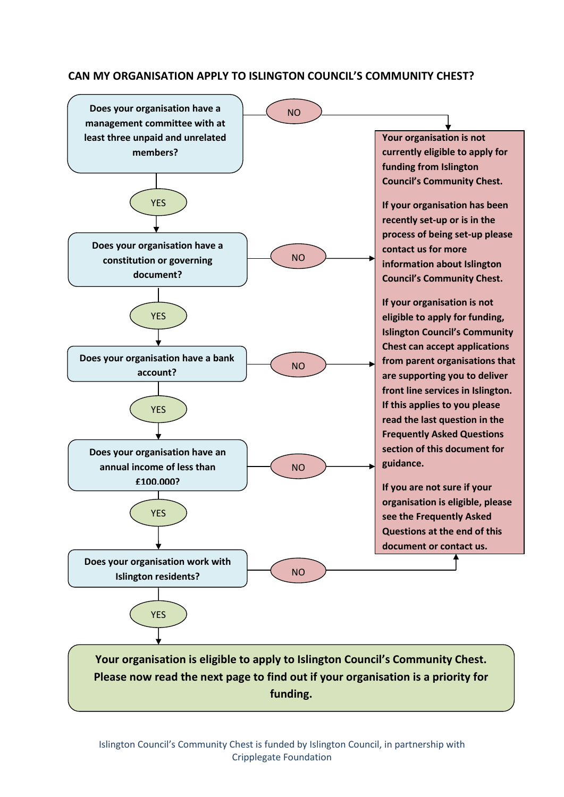#### **CAN MY ORGANISATION APPLY TO ISLINGTON COUNCIL'S COMMUNITY CHEST?**



Islington Council's Community Chest is funded by Islington Council, in partnership with Cripplegate Foundation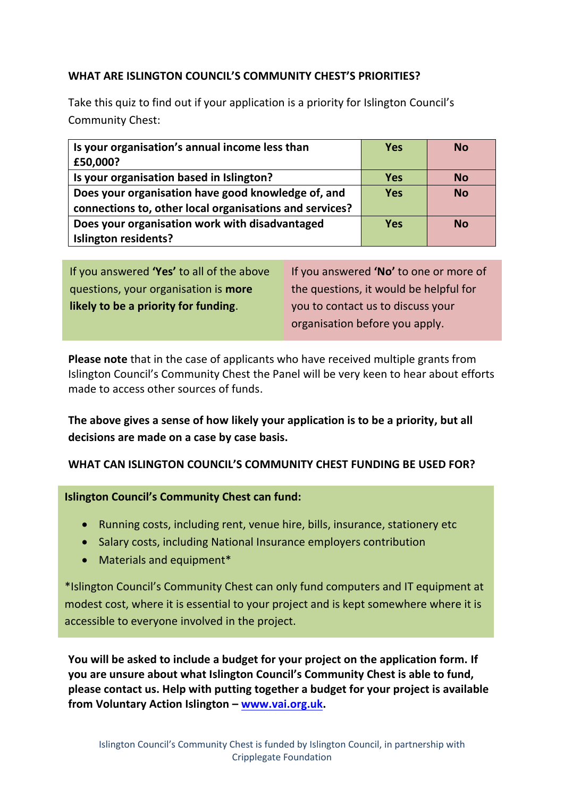#### **WHAT ARE ISLINGTON COUNCIL'S COMMUNITY CHEST'S PRIORITIES?**

Take this quiz to find out if your application is a priority for Islington Council's Community Chest:

| Is your organisation's annual income less than<br>£50,000? | <b>Yes</b> | <b>No</b> |
|------------------------------------------------------------|------------|-----------|
| Is your organisation based in Islington?                   | <b>Yes</b> | <b>No</b> |
| Does your organisation have good knowledge of, and         | <b>Yes</b> | <b>No</b> |
| connections to, other local organisations and services?    |            |           |
| Does your organisation work with disadvantaged             | <b>Yes</b> | <b>No</b> |
| Islington residents?                                       |            |           |

If you answered **'Yes'** to all of the above questions, your organisation is **more likely to be a priority for funding**.

If you answered **'No'** to one or more of the questions, it would be helpful for you to contact us to discuss your organisation before you apply.

**Please note** that in the case of applicants who have received multiple grants from Islington Council's Community Chest the Panel will be very keen to hear about efforts made to access other sources of funds.

**The above gives a sense of how likely your application is to be a priority, but all decisions are made on a case by case basis.**

**WHAT CAN ISLINGTON COUNCIL'S COMMUNITY CHEST FUNDING BE USED FOR?**

**Islington Council's Community Chest can fund:**

- Running costs, including rent, venue hire, bills, insurance, stationery etc
- Salary costs, including National Insurance employers contribution
- Materials and equipment\*

\*Islington Council's Community Chest can only fund computers and IT equipment at modest cost, where it is essential to your project and is kept somewhere where it is accessible to everyone involved in the project.

**You will be asked to include a budget for your project on the application form. If you are unsure about what Islington Council's Community Chest is able to fund, please contact us. Help with putting together a budget for your project is available from Voluntary Action Islington – [www.vai.org.uk.](http://www.vai.org.uk/)**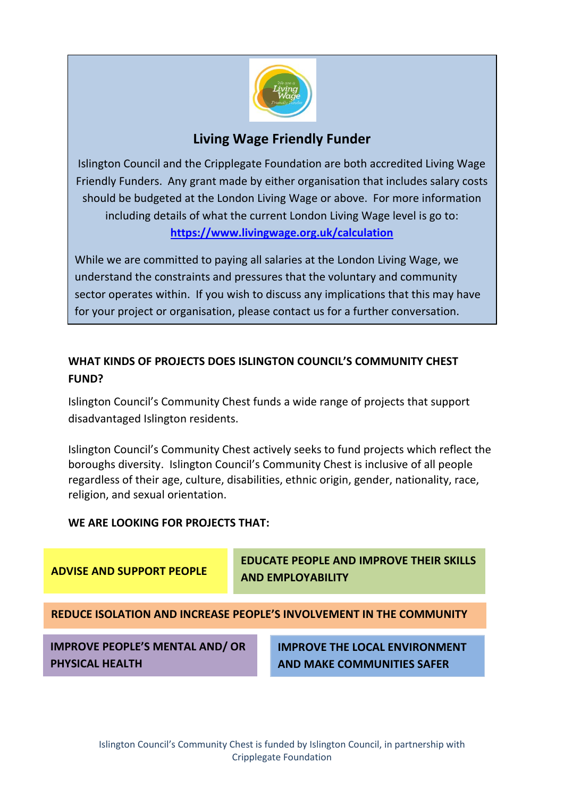

## **Living Wage Friendly Funder**

Islington Council and the Cripplegate Foundation are both accredited Living Wage Friendly Funders. Any grant made by either organisation that includes salary costs should be budgeted at the London Living Wage or above. For more information including details of what the current London Living Wage level is go to: **<https://www.livingwage.org.uk/calculation>**

While we are committed to paying all salaries at the London Living Wage, we understand the constraints and pressures that the voluntary and community sector operates within. If you wish to discuss any implications that this may have for your project or organisation, please contact us for a further conversation.

## **WHAT KINDS OF PROJECTS DOES ISLINGTON COUNCIL'S COMMUNITY CHEST FUND?**

Islington Council's Community Chest funds a wide range of projects that support disadvantaged Islington residents.

Islington Council's Community Chest actively seeks to fund projects which reflect the boroughs diversity. Islington Council's Community Chest is inclusive of all people regardless of their age, culture, disabilities, ethnic origin, gender, nationality, race, religion, and sexual orientation.

#### **WE ARE LOOKING FOR PROJECTS THAT:**

**ADVISE AND SUPPORT PEOPLE IMPROVE PEOPLE'S MENTAL AND/ OR PHYSICAL HEALTH EDUCATE PEOPLE AND IMPROVE THEIR SKILLS AND EMPLOYABILITY REDUCE ISOLATION AND INCREASE PEOPLE'S INVOLVEMENT IN THE COMMUNITY IMPROVE THE LOCAL ENVIRONMENT AND MAKE COMMUNITIES SAFER**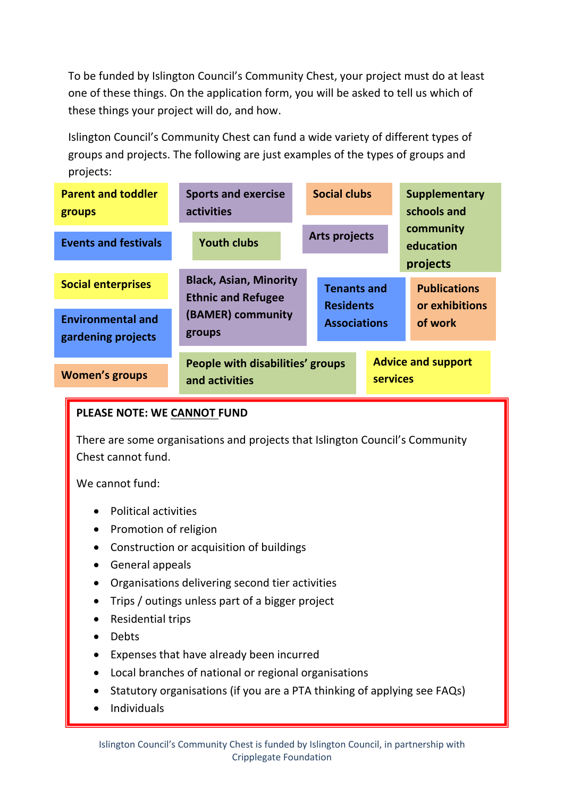To be funded by Islington Council's Community Chest, your project must do at least one of these things. On the application form, you will be asked to tell us which of these things your project will do, and how.

Islington Council's Community Chest can fund a wide variety of different types of groups and projects. The following are just examples of the types of groups and projects:

| <b>Parent and toddler</b><br>groups            | <b>Sports and exercise</b><br>activities                                                  |  | <b>Social clubs</b>                                           |  | <b>Supplementary</b><br>schools and<br>community<br>education<br>projects |  |
|------------------------------------------------|-------------------------------------------------------------------------------------------|--|---------------------------------------------------------------|--|---------------------------------------------------------------------------|--|
| <b>Events and festivals</b>                    | <b>Youth clubs</b>                                                                        |  | <b>Arts projects</b>                                          |  |                                                                           |  |
| <b>Social enterprises</b>                      | <b>Black, Asian, Minority</b><br><b>Ethnic and Refugee</b><br>(BAMER) community<br>groups |  | <b>Tenants and</b><br><b>Residents</b><br><b>Associations</b> |  | <b>Publications</b><br>or exhibitions<br>of work                          |  |
| <b>Environmental and</b><br>gardening projects |                                                                                           |  |                                                               |  |                                                                           |  |
|                                                |                                                                                           |  |                                                               |  | <b>Advice and support</b>                                                 |  |
| <b>Women's groups</b>                          | People with disabilities' groups<br><b>services</b><br>and activities                     |  |                                                               |  |                                                                           |  |

## **PLEASE NOTE: WE CANNOT FUND**

There are some organisations and projects that Islington Council's Community Chest cannot fund.

We cannot fund:

- Political activities
- Promotion of religion
- Construction or acquisition of buildings
- General appeals
- Organisations delivering second tier activities
- Trips / outings unless part of a bigger project
- Residential trips
- Debts
- Expenses that have already been incurred
- Local branches of national or regional organisations
- Statutory organisations (if you are a PTA thinking of applying see FAQs)
- Individuals

•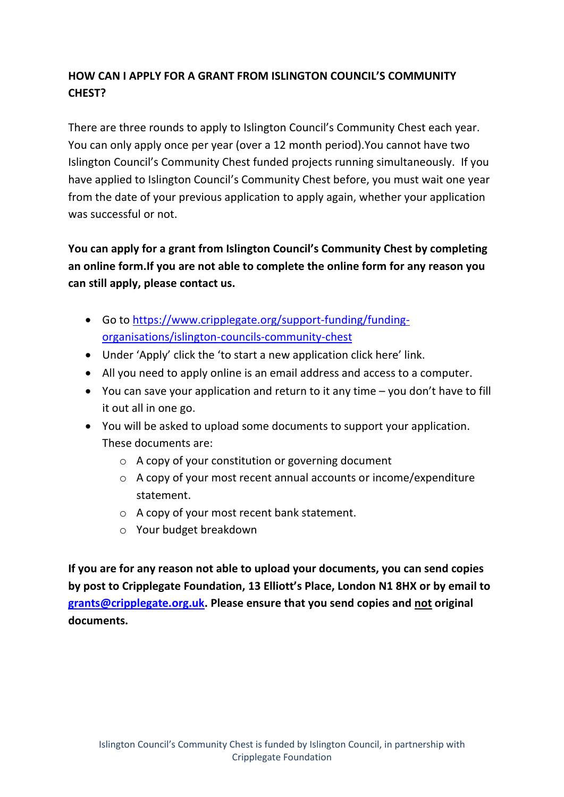## **HOW CAN I APPLY FOR A GRANT FROM ISLINGTON COUNCIL'S COMMUNITY CHEST?**

There are three rounds to apply to Islington Council's Community Chest each year. You can only apply once per year (over a 12 month period).You cannot have two Islington Council's Community Chest funded projects running simultaneously. If you have applied to Islington Council's Community Chest before, you must wait one year from the date of your previous application to apply again, whether your application was successful or not.

**You can apply for a grant from Islington Council's Community Chest by completing an online form.If you are not able to complete the online form for any reason you can still apply, please contact us.**

- Go to [https://www.cripplegate.org/support-funding/funding](https://www.cripplegate.org/support-funding/funding-organisations/islington-councils-community-chest)[organisations/islington-councils-community-chest](https://www.cripplegate.org/support-funding/funding-organisations/islington-councils-community-chest)
- Under 'Apply' click the 'to start a new application click here' link.
- All you need to apply online is an email address and access to a computer.
- You can save your application and return to it any time you don't have to fill it out all in one go.
- You will be asked to upload some documents to support your application. These documents are:
	- o A copy of your constitution or governing document
	- o A copy of your most recent annual accounts or income/expenditure statement.
	- o A copy of your most recent bank statement.
	- o Your budget breakdown

**If you are for any reason not able to upload your documents, you can send copies by post to Cripplegate Foundation, 13 Elliott's Place, London N1 8HX or by email to [grants@cripplegate.org.uk.](mailto:grants@cripplegate.org.uk) Please ensure that you send copies and not original documents.**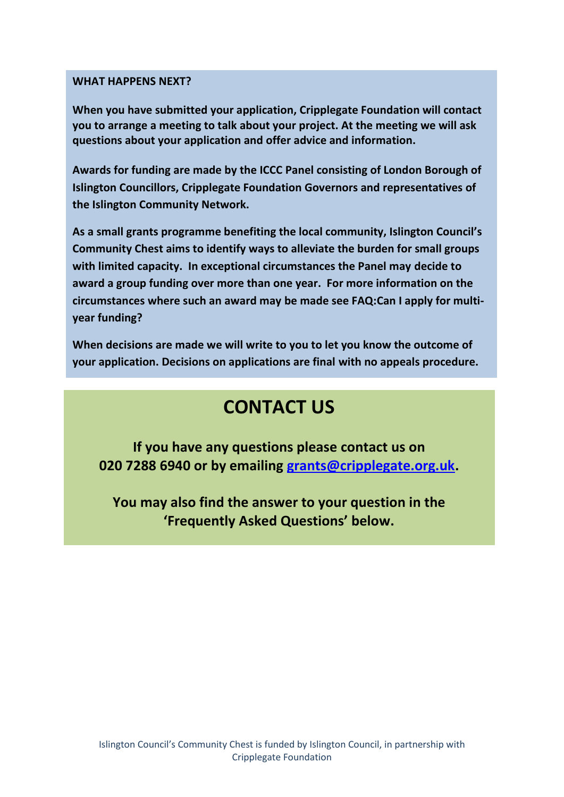#### **WHAT HAPPENS NEXT?**

**When you have submitted your application, Cripplegate Foundation will contact you to arrange a meeting to talk about your project. At the meeting we will ask questions about your application and offer advice and information.** 

**Awards for funding are made by the ICCC Panel consisting of London Borough of Islington Councillors, Cripplegate Foundation Governors and representatives of the Islington Community Network.** 

**As a small grants programme benefiting the local community, Islington Council's Community Chest aims to identify ways to alleviate the burden for small groups with limited capacity. In exceptional circumstances the Panel may decide to award a group funding over more than one year. For more information on the circumstances where such an award may be made see FAQ:Can I apply for multiyear funding?**

**When decisions are made we will write to you to let you know the outcome of your application. Decisions on applications are final with no appeals procedure.**

## **CONTACT US**

**If you have any questions please contact us on 020 7288 6940 or by emailing [grants@cripplegate.org.uk.](mailto:grants@cripplegate.org.uk)**

**You may also find the answer to your question in the 'Frequently Asked Questions' below.**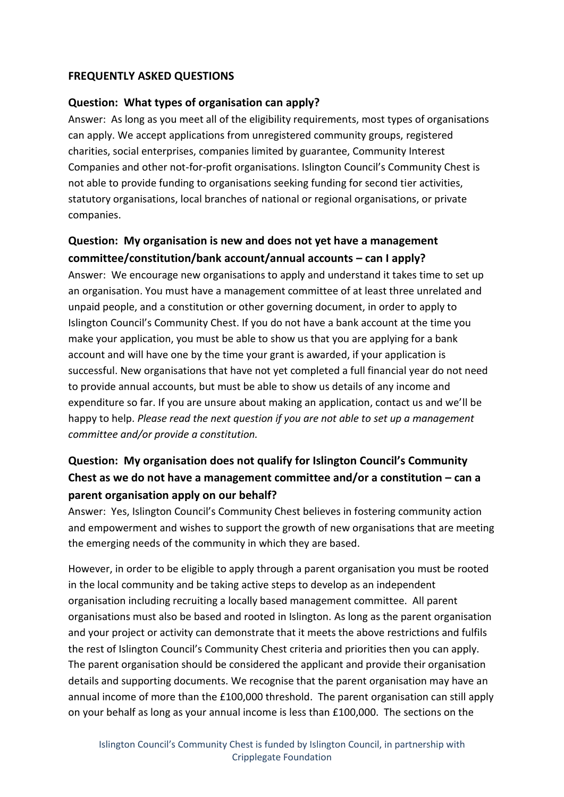#### **FREQUENTLY ASKED QUESTIONS**

#### **Question: What types of organisation can apply?**

Answer: As long as you meet all of the eligibility requirements, most types of organisations can apply. We accept applications from unregistered community groups, registered charities, social enterprises, companies limited by guarantee, Community Interest Companies and other not-for-profit organisations. Islington Council's Community Chest is not able to provide funding to organisations seeking funding for second tier activities, statutory organisations, local branches of national or regional organisations, or private companies.

## **Question: My organisation is new and does not yet have a management committee/constitution/bank account/annual accounts – can I apply?**

Answer: We encourage new organisations to apply and understand it takes time to set up an organisation. You must have a management committee of at least three unrelated and unpaid people, and a constitution or other governing document, in order to apply to Islington Council's Community Chest. If you do not have a bank account at the time you make your application, you must be able to show us that you are applying for a bank account and will have one by the time your grant is awarded, if your application is successful. New organisations that have not yet completed a full financial year do not need to provide annual accounts, but must be able to show us details of any income and expenditure so far. If you are unsure about making an application, contact us and we'll be happy to help. *Please read the next question if you are not able to set up a management committee and/or provide a constitution.*

## **Question: My organisation does not qualify for Islington Council's Community Chest as we do not have a management committee and/or a constitution – can a parent organisation apply on our behalf?**

Answer: Yes, Islington Council's Community Chest believes in fostering community action and empowerment and wishes to support the growth of new organisations that are meeting the emerging needs of the community in which they are based.

However, in order to be eligible to apply through a parent organisation you must be rooted in the local community and be taking active steps to develop as an independent organisation including recruiting a locally based management committee. All parent organisations must also be based and rooted in Islington. As long as the parent organisation and your project or activity can demonstrate that it meets the above restrictions and fulfils the rest of Islington Council's Community Chest criteria and priorities then you can apply. The parent organisation should be considered the applicant and provide their organisation details and supporting documents. We recognise that the parent organisation may have an annual income of more than the £100,000 threshold. The parent organisation can still apply on your behalf as long as your annual income is less than £100,000. The sections on the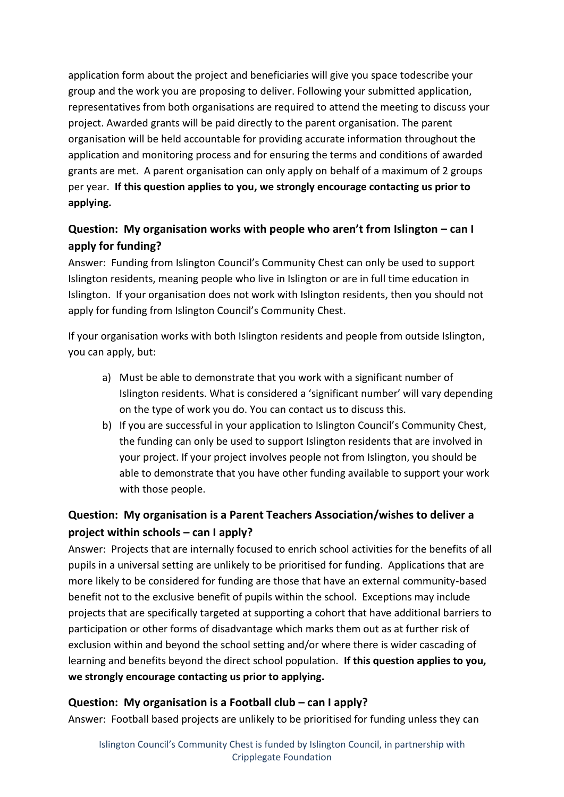application form about the project and beneficiaries will give you space todescribe your group and the work you are proposing to deliver. Following your submitted application, representatives from both organisations are required to attend the meeting to discuss your project. Awarded grants will be paid directly to the parent organisation. The parent organisation will be held accountable for providing accurate information throughout the application and monitoring process and for ensuring the terms and conditions of awarded grants are met. A parent organisation can only apply on behalf of a maximum of 2 groups per year. **If this question applies to you, we strongly encourage contacting us prior to applying.**

## **Question: My organisation works with people who aren't from Islington – can I apply for funding?**

Answer: Funding from Islington Council's Community Chest can only be used to support Islington residents, meaning people who live in Islington or are in full time education in Islington. If your organisation does not work with Islington residents, then you should not apply for funding from Islington Council's Community Chest.

If your organisation works with both Islington residents and people from outside Islington, you can apply, but:

- a) Must be able to demonstrate that you work with a significant number of Islington residents. What is considered a 'significant number' will vary depending on the type of work you do. You can contact us to discuss this.
- b) If you are successful in your application to Islington Council's Community Chest, the funding can only be used to support Islington residents that are involved in your project. If your project involves people not from Islington, you should be able to demonstrate that you have other funding available to support your work with those people.

## **Question: My organisation is a Parent Teachers Association/wishes to deliver a project within schools – can I apply?**

Answer: Projects that are internally focused to enrich school activities for the benefits of all pupils in a universal setting are unlikely to be prioritised for funding. Applications that are more likely to be considered for funding are those that have an external community-based benefit not to the exclusive benefit of pupils within the school. Exceptions may include projects that are specifically targeted at supporting a cohort that have additional barriers to participation or other forms of disadvantage which marks them out as at further risk of exclusion within and beyond the school setting and/or where there is wider cascading of learning and benefits beyond the direct school population. **If this question applies to you, we strongly encourage contacting us prior to applying.**

#### **Question: My organisation is a Football club – can I apply?**

Answer: Football based projects are unlikely to be prioritised for funding unless they can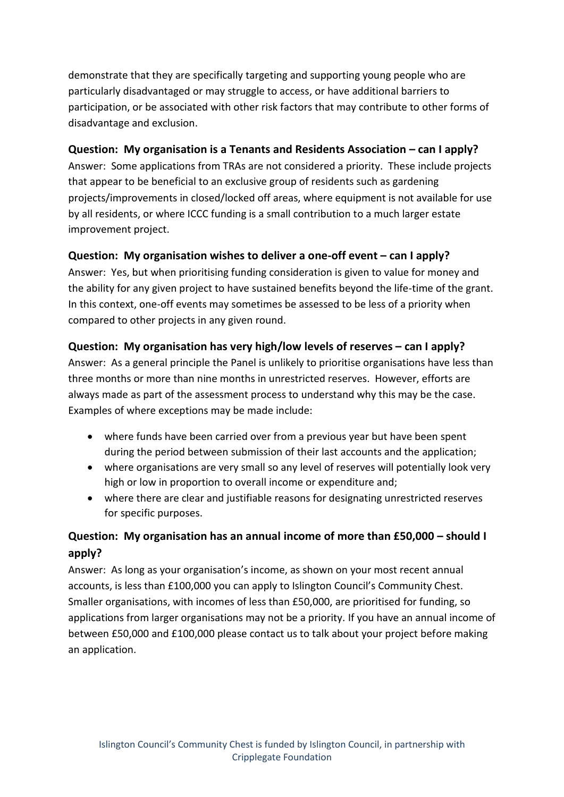demonstrate that they are specifically targeting and supporting young people who are particularly disadvantaged or may struggle to access, or have additional barriers to participation, or be associated with other risk factors that may contribute to other forms of disadvantage and exclusion.

#### **Question:** My organisation is a Tenants and Residents Association – can I apply?

Answer: Some applications from TRAs are not considered a priority. These include projects that appear to be beneficial to an exclusive group of residents such as gardening projects/improvements in closed/locked off areas, where equipment is not available for use by all residents, or where ICCC funding is a small contribution to a much larger estate improvement project.

## **Question: My organisation wishes to deliver a one-off event – can I apply?**

Answer: Yes, but when prioritising funding consideration is given to value for money and the ability for any given project to have sustained benefits beyond the life-time of the grant. In this context, one-off events may sometimes be assessed to be less of a priority when compared to other projects in any given round.

#### **Question: My organisation has very high/low levels of reserves – can I apply?**

Answer: As a general principle the Panel is unlikely to prioritise organisations have less than three months or more than nine months in unrestricted reserves. However, efforts are always made as part of the assessment process to understand why this may be the case. Examples of where exceptions may be made include:

- where funds have been carried over from a previous year but have been spent during the period between submission of their last accounts and the application;
- where organisations are very small so any level of reserves will potentially look very high or low in proportion to overall income or expenditure and;
- where there are clear and justifiable reasons for designating unrestricted reserves for specific purposes.

## **Question: My organisation has an annual income of more than £50,000 – should I apply?**

Answer: As long as your organisation's income, as shown on your most recent annual accounts, is less than £100,000 you can apply to Islington Council's Community Chest. Smaller organisations, with incomes of less than £50,000, are prioritised for funding, so applications from larger organisations may not be a priority. If you have an annual income of between £50,000 and £100,000 please contact us to talk about your project before making an application.